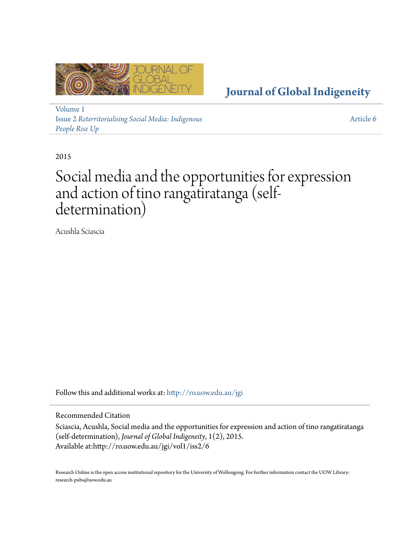

**[Journal of Global Indigeneity](http://ro.uow.edu.au/jgi?utm_source=ro.uow.edu.au%2Fjgi%2Fvol1%2Fiss2%2F6&utm_medium=PDF&utm_campaign=PDFCoverPages)**

[Volume 1](http://ro.uow.edu.au/jgi/vol1?utm_source=ro.uow.edu.au%2Fjgi%2Fvol1%2Fiss2%2F6&utm_medium=PDF&utm_campaign=PDFCoverPages) Issue 2 *[Reterritorialising Social Media: Indigenous](http://ro.uow.edu.au/jgi/vol1/iss2?utm_source=ro.uow.edu.au%2Fjgi%2Fvol1%2Fiss2%2F6&utm_medium=PDF&utm_campaign=PDFCoverPages) [People Rise Up](http://ro.uow.edu.au/jgi/vol1/iss2?utm_source=ro.uow.edu.au%2Fjgi%2Fvol1%2Fiss2%2F6&utm_medium=PDF&utm_campaign=PDFCoverPages)*

[Article 6](http://ro.uow.edu.au/jgi/vol1/iss2/6?utm_source=ro.uow.edu.au%2Fjgi%2Fvol1%2Fiss2%2F6&utm_medium=PDF&utm_campaign=PDFCoverPages)

2015

#### Social media and the opportunities for expression and action of tino rangatiratanga (selfdetermination)

Acushla Sciascia

Follow this and additional works at: [http://ro.uow.edu.au/jgi](http://ro.uow.edu.au/jgi?utm_source=ro.uow.edu.au%2Fjgi%2Fvol1%2Fiss2%2F6&utm_medium=PDF&utm_campaign=PDFCoverPages)

Recommended Citation

Sciascia, Acushla, Social media and the opportunities for expression and action of tino rangatiratanga (self-determination), *Journal of Global Indigeneity*, 1(2), 2015. Available at:http://ro.uow.edu.au/jgi/vol1/iss2/6

Research Online is the open access institutional repository for the University of Wollongong. For further information contact the UOW Library: research-pubs@uow.edu.au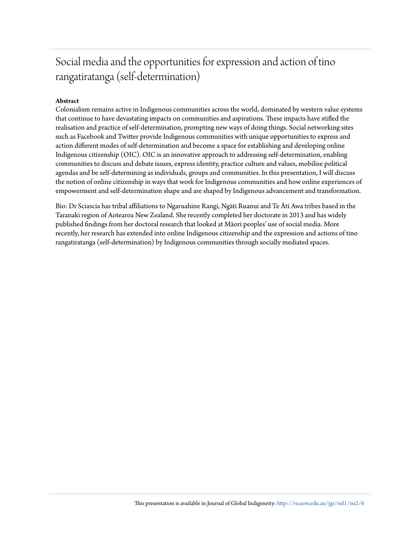#### Social media and the opportunities for expression and action of tino rangatiratanga (self-determination)

#### **Abstract**

Colonialism remains active in Indigenous communities across the world, dominated by western value systems that continue to have devastating impacts on communities and aspirations. These impacts have stifled the realisation and practice of self-determination, prompting new ways of doing things. Social networking sites such as Facebook and Twitter provide Indigenous communities with unique opportunities to express and action different modes of self-determination and become a space for establishing and developing online Indigenous citizenship (OIC). OIC is an innovative approach to addressing self-determination, enabling communities to discuss and debate issues, express identity, practice culture and values, mobilise political agendas and be self-determining as individuals, groups and communities. In this presentation, I will discuss the notion of online citizenship in ways that work for Indigenous communities and how online experiences of empowerment and self-determination shape and are shaped by Indigenous advancement and transformation.

Bio: Dr Sciascia has tribal affiliations to Ngaruahine Rangi, Ngāti Ruanui and Te Āti Awa tribes based in the Taranaki region of Aotearoa New Zealand. She recently completed her doctorate in 2013 and has widely published findings from her doctoral research that looked at Māori peoples' use of social media. More recently, her research has extended into online Indigenous citizenship and the expression and actions of tino rangatiratanga (self-determination) by Indigenous communities through socially mediated spaces.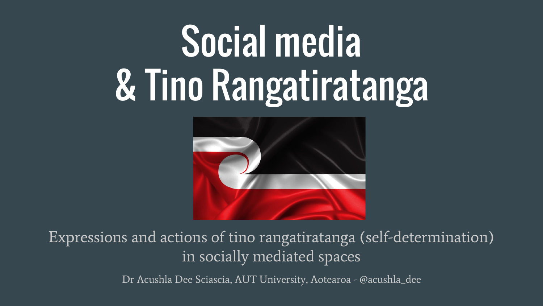### Social media & Tino Rangatiratanga



Expressions and actions of tino rangatiratanga (self-determination) in socially mediated spaces

Dr Acushla Dee Sciascia, AUT University, Aotearoa - @acushla\_dee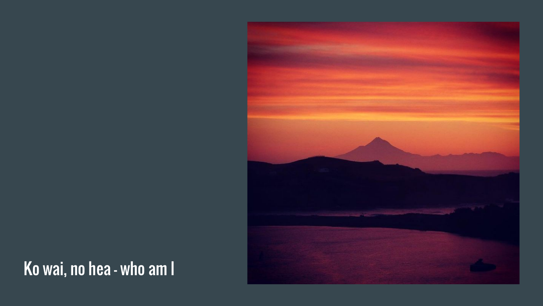

#### Ko wai, no hea - who am I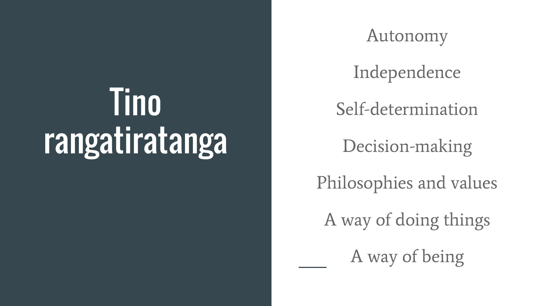### **Tino** rangatiratanga

Autonomy

Independence

Self-determination

Decision-making

Philosophies and values

A way of doing things

A way of being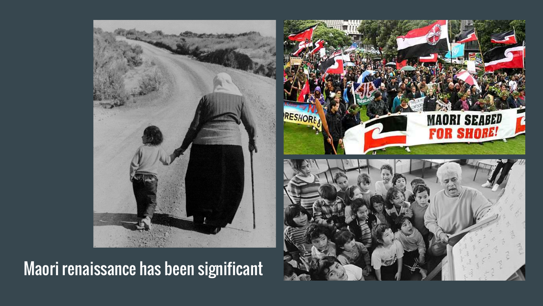

#### Maori renaissance has been significant

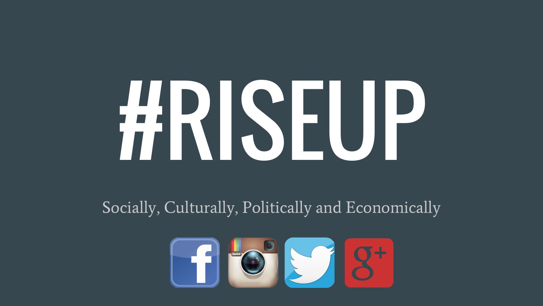# #RISEUP

Socially, Culturally, Politically and Economically

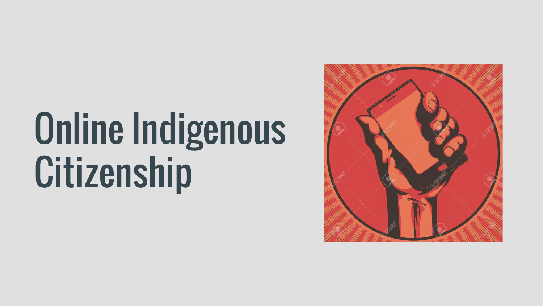### Online Indigenous **Citizenship**

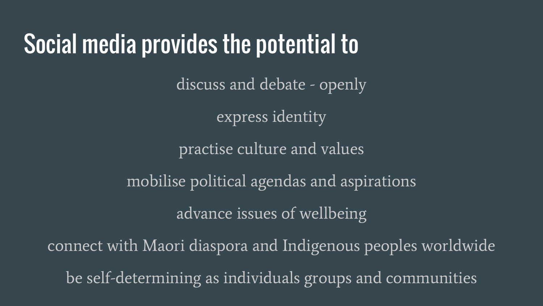#### Social media provides the potential to

discuss and debate - openly

express identity

practise culture and values

mobilise political agendas and aspirations

advance issues of wellbeing

connect with Maori diaspora and Indigenous peoples worldwide be self-determining as individuals groups and communities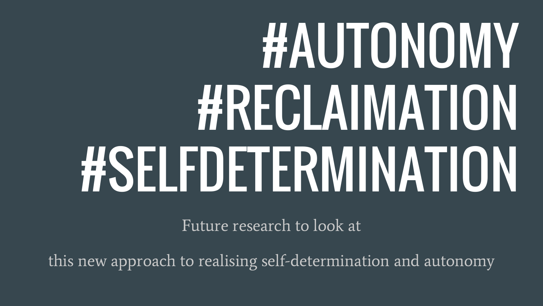## #AUTONOMY #RECLAIMATION #SELFDETERMINATION

Future research to look at

this new approach to realising self-determination and autonomy